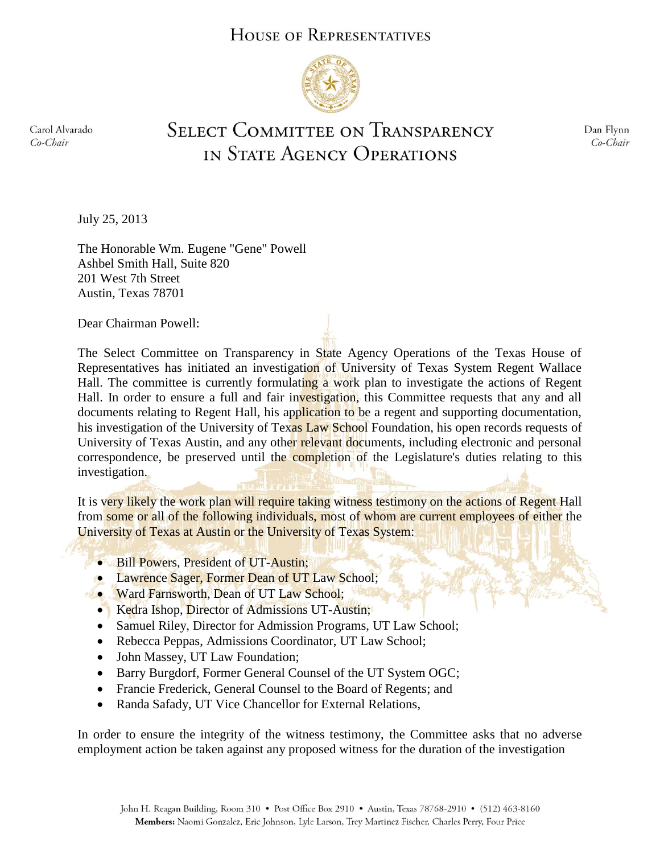## HOUSE OF REPRESENTATIVES



Carol Alvarado Co-Chair

## **SELECT COMMITTEE ON TRANSPARENCY** IN STATE AGENCY OPERATIONS

Dan Flynn Co-Chair

July 25, 2013

The Honorable Wm. Eugene "Gene" Powell Ashbel Smith Hall, Suite 820 201 West 7th Street Austin, Texas 78701

Dear Chairman Powell:

The Select Committee on Transparency in State Agency Operations of the Texas House of Representatives has initiated an investigation of University of Texas System Regent Wallace Hall. The committee is currently formulating a work plan to investigate the actions of Regent Hall. In order to ensure a full and fair investigation, this Committee requests that any and all documents relating to Regent Hall, his application to be a regent and supporting documentation, his investigation of the University of Texas Law School Foundation, his open records requests of University of Texas Austin, and any other relevant documents, including electronic and personal correspondence, be preserved until the completion of the Legislature's duties relating to this investigation.

It is very likely the work plan will require taking witness testimony on the actions of Regent Hall from some or all of the following individuals, most of whom are current employees of either the University of Texas at Austin or the University of Texas System:

- Bill Powers, President of UT-Austin;
- Lawrence Sager, Former Dean of UT Law School;
- Ward Farnsworth, Dean of UT Law School;
	- Kedra Ishop, Director of Admissions UT-Austin;
	- Samuel Riley, Director for Admission Programs, UT Law School;
	- Rebecca Peppas, Admissions Coordinator, UT Law School;
	- John Massey, UT Law Foundation;
	- Barry Burgdorf, Former General Counsel of the UT System OGC;
	- Francie Frederick, General Counsel to the Board of Regents; and
	- Randa Safady, UT Vice Chancellor for External Relations,

In order to ensure the integrity of the witness testimony, the Committee asks that no adverse employment action be taken against any proposed witness for the duration of the investigation